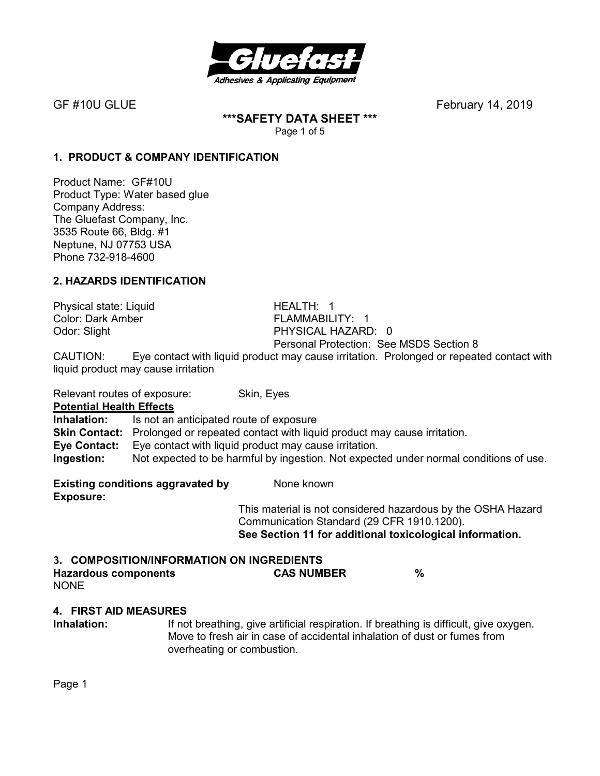

**\*\*\*SAFETY DATA SHEET \*\*\***  Page 1 of 5

# **1. PRODUCT & COMPANY IDENTIFICATION**

Product Name: GF#10U Product Type: Water based glue Company Address: The Gluefast Company, Inc. 3535 Route 66, Bldg. #1 Neptune, NJ 07753 USA Phone 732-918-4600

# **2. HAZARDS IDENTIFICATION**

Physical state: Liquid HEALTH: 1 Color: Dark Amber FLAMMABILITY: 1

Odor: Slight PHYSICAL HAZARD: 0 Personal Protection: See MSDS Section 8

CAUTION: Eye contact with liquid product may cause irritation. Prolonged or repeated contact with liquid product may cause irritation

Relevant routes of exposure: Skin, Eyes

**Potential Health Effects** 

**Inhalation:** Is not an anticipated route of exposure **Skin Contact:** Prolonged or repeated contact with liquid product may cause irritation. **Eye Contact:** Eye contact with liquid product may cause irritation. **Ingestion:** Not expected to be harmful by ingestion. Not expected under normal conditions of use.

**Existing conditions aggravated by Solvich Representions Aggregate** None known **Exposure:** 

This material is not considered hazardous by the OSHA Hazard Communication Standard (29 CFR 1910.1200). **See Section 11 for additional toxicological information.** 

| 3. COMPOSITION/INFORMATION ON INGREDIENTS |                   |  |
|-------------------------------------------|-------------------|--|
| Hazardous components                      | <b>CAS NUMBER</b> |  |
| $\cdots$                                  |                   |  |

NONE

### **4. FIRST AID MEASURES**

**Inhalation:** If not breathing, give artificial respiration. If breathing is difficult, give oxygen. Move to fresh air in case of accidental inhalation of dust or fumes from overheating or combustion.

Page 1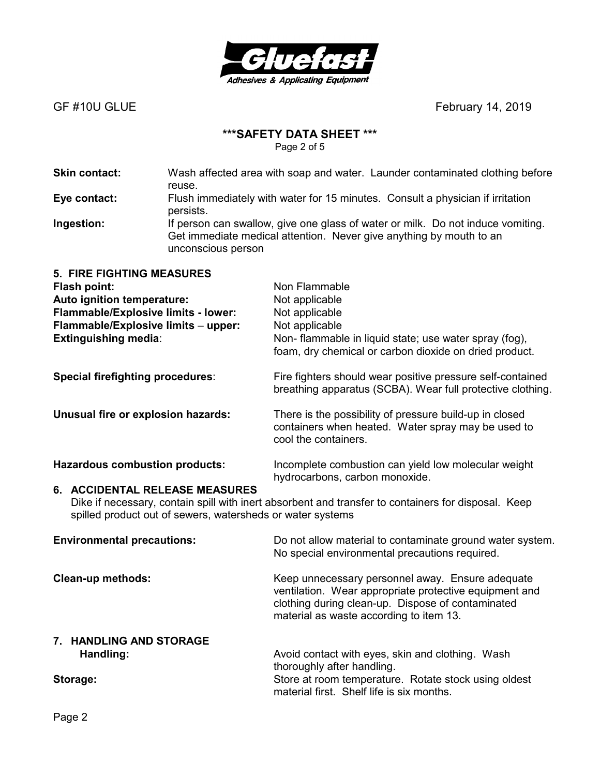

# **\*\*\*SAFETY DATA SHEET \*\*\***

Page 2 of 5

| <b>Skin contact:</b>                                                                                                                                                                                | Wash affected area with soap and water. Launder contaminated clothing before<br>reuse.                                                                                       |                                                                                                                                                                                         |  |
|-----------------------------------------------------------------------------------------------------------------------------------------------------------------------------------------------------|------------------------------------------------------------------------------------------------------------------------------------------------------------------------------|-----------------------------------------------------------------------------------------------------------------------------------------------------------------------------------------|--|
| Eye contact:                                                                                                                                                                                        | Flush immediately with water for 15 minutes. Consult a physician if irritation<br>persists.                                                                                  |                                                                                                                                                                                         |  |
| Ingestion:                                                                                                                                                                                          | If person can swallow, give one glass of water or milk. Do not induce vomiting.<br>Get immediate medical attention. Never give anything by mouth to an<br>unconscious person |                                                                                                                                                                                         |  |
| <b>5. FIRE FIGHTING MEASURES</b><br><b>Flash point:</b><br>Auto ignition temperature:<br>Flammable/Explosive limits - lower:<br>Flammable/Explosive limits - upper:<br><b>Extinguishing media:</b>  |                                                                                                                                                                              | Non Flammable<br>Not applicable<br>Not applicable<br>Not applicable<br>Non- flammable in liquid state; use water spray (fog),<br>foam, dry chemical or carbon dioxide on dried product. |  |
| <b>Special firefighting procedures:</b>                                                                                                                                                             |                                                                                                                                                                              | Fire fighters should wear positive pressure self-contained<br>breathing apparatus (SCBA). Wear full protective clothing.                                                                |  |
| Unusual fire or explosion hazards:                                                                                                                                                                  |                                                                                                                                                                              | There is the possibility of pressure build-up in closed<br>containers when heated. Water spray may be used to<br>cool the containers.                                                   |  |
| <b>Hazardous combustion products:</b>                                                                                                                                                               |                                                                                                                                                                              | Incomplete combustion can yield low molecular weight<br>hydrocarbons, carbon monoxide.                                                                                                  |  |
| 6. ACCIDENTAL RELEASE MEASURES<br>Dike if necessary, contain spill with inert absorbent and transfer to containers for disposal. Keep<br>spilled product out of sewers, watersheds or water systems |                                                                                                                                                                              |                                                                                                                                                                                         |  |
| <b>Environmental precautions:</b>                                                                                                                                                                   |                                                                                                                                                                              | Do not allow material to contaminate ground water system.                                                                                                                               |  |

**Clean-up methods: Keep unnecessary personnel away. Ensure adequate Clean-up methods:** ventilation. Wear appropriate protective equipment and clothing during clean-up. Dispose of contaminated material as waste according to item 13. **7. HANDLING AND STORAGE Handling: Handling: Avoid contact with eyes, skin and clothing. Wash** thoroughly after handling. **Storage:** Store at room temperature. Rotate stock using oldest

No special environmental precautions required.

material first. Shelf life is six months.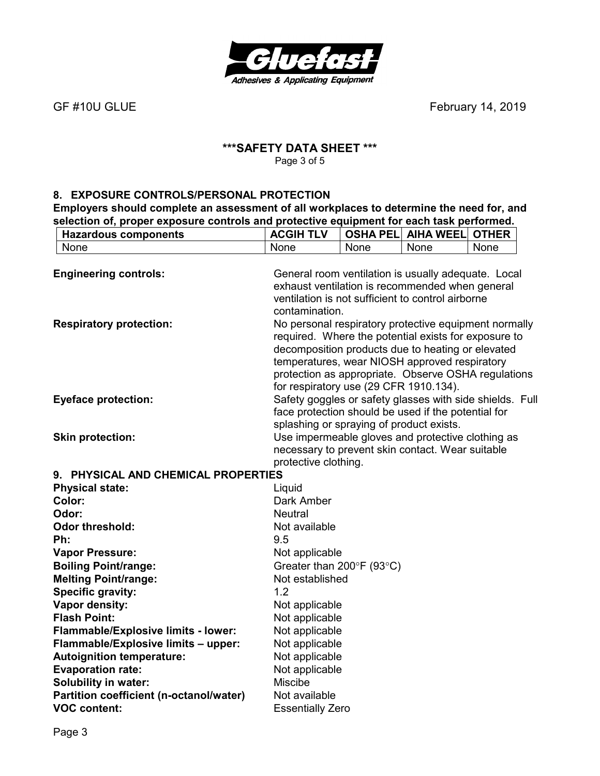

# **\*\*\*SAFETY DATA SHEET \*\*\***  Page 3 of 5

## **8. EXPOSURE CONTROLS/PERSONAL PROTECTION**

**Employers should complete an assessment of all workplaces to determine the need for, and selection of, proper exposure controls and protective equipment for each task performed.** 

| <b>Hazardous components</b>                                    | <b>ACGIH TLV</b>                         |      | <b>OSHA PELI AIHA WEELI</b>                                                                        | <b>OTHER</b> |
|----------------------------------------------------------------|------------------------------------------|------|----------------------------------------------------------------------------------------------------|--------------|
| None                                                           | None                                     | None | None                                                                                               | None         |
|                                                                |                                          |      |                                                                                                    |              |
| <b>Engineering controls:</b>                                   |                                          |      | General room ventilation is usually adequate. Local                                                |              |
|                                                                |                                          |      | exhaust ventilation is recommended when general                                                    |              |
|                                                                |                                          |      | ventilation is not sufficient to control airborne                                                  |              |
|                                                                | contamination.                           |      |                                                                                                    |              |
| <b>Respiratory protection:</b>                                 |                                          |      | No personal respiratory protective equipment normally                                              |              |
|                                                                |                                          |      | required. Where the potential exists for exposure to                                               |              |
|                                                                |                                          |      | decomposition products due to heating or elevated<br>temperatures, wear NIOSH approved respiratory |              |
|                                                                |                                          |      | protection as appropriate. Observe OSHA regulations                                                |              |
|                                                                | for respiratory use (29 CFR 1910.134).   |      |                                                                                                    |              |
| <b>Eyeface protection:</b>                                     |                                          |      | Safety goggles or safety glasses with side shields. Full                                           |              |
|                                                                |                                          |      | face protection should be used if the potential for                                                |              |
|                                                                | splashing or spraying of product exists. |      |                                                                                                    |              |
| <b>Skin protection:</b>                                        |                                          |      | Use impermeable gloves and protective clothing as                                                  |              |
|                                                                |                                          |      | necessary to prevent skin contact. Wear suitable                                                   |              |
|                                                                | protective clothing.                     |      |                                                                                                    |              |
| 9. PHYSICAL AND CHEMICAL PROPERTIES                            |                                          |      |                                                                                                    |              |
| <b>Physical state:</b>                                         | Liquid                                   |      |                                                                                                    |              |
| Color:                                                         | Dark Amber                               |      |                                                                                                    |              |
| Odor:                                                          | <b>Neutral</b>                           |      |                                                                                                    |              |
| <b>Odor threshold:</b>                                         | Not available                            |      |                                                                                                    |              |
| Ph:                                                            | 9.5                                      |      |                                                                                                    |              |
| <b>Vapor Pressure:</b>                                         | Not applicable                           |      |                                                                                                    |              |
| <b>Boiling Point/range:</b>                                    | Greater than 200°F (93°C)                |      |                                                                                                    |              |
| <b>Melting Point/range:</b>                                    | Not established                          |      |                                                                                                    |              |
| <b>Specific gravity:</b>                                       | 1.2                                      |      |                                                                                                    |              |
| Vapor density:                                                 | Not applicable                           |      |                                                                                                    |              |
| <b>Flash Point:</b>                                            | Not applicable                           |      |                                                                                                    |              |
| Flammable/Explosive limits - lower:                            | Not applicable                           |      |                                                                                                    |              |
| Flammable/Explosive limits - upper:                            | Not applicable                           |      |                                                                                                    |              |
| <b>Autoignition temperature:</b>                               | Not applicable                           |      |                                                                                                    |              |
| <b>Evaporation rate:</b>                                       | Not applicable                           |      |                                                                                                    |              |
| <b>Solubility in water:</b>                                    | <b>Miscibe</b>                           |      |                                                                                                    |              |
| Partition coefficient (n-octanol/water)<br><b>VOC content:</b> | Not available                            |      |                                                                                                    |              |
|                                                                | <b>Essentially Zero</b>                  |      |                                                                                                    |              |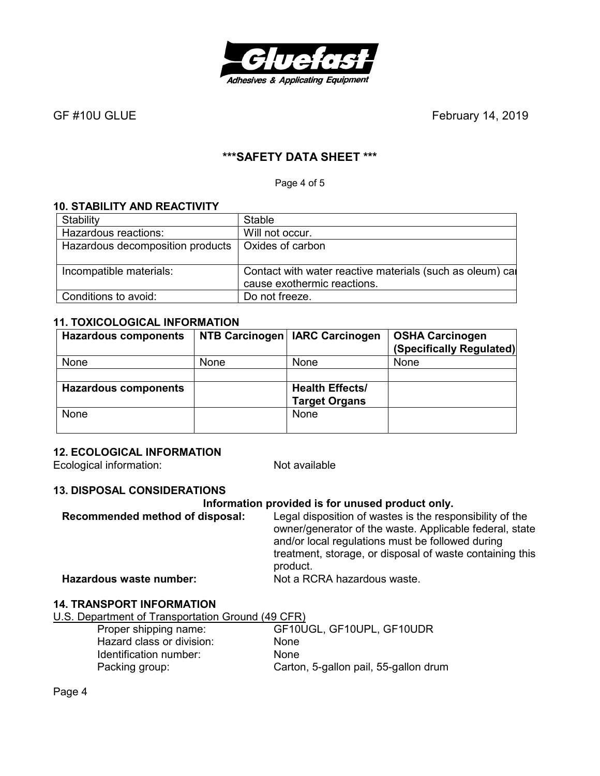

# **\*\*\*SAFETY DATA SHEET \*\*\***

Page 4 of 5

# **10. STABILITY AND REACTIVITY**

| Stability                        | <b>Stable</b>                                              |
|----------------------------------|------------------------------------------------------------|
| Hazardous reactions:             | Will not occur.                                            |
| Hazardous decomposition products | Oxides of carbon                                           |
|                                  |                                                            |
| Incompatible materials:          | Contact with water reactive materials (such as oleum) call |
|                                  | cause exothermic reactions.                                |
| Conditions to avoid:             | Do not freeze.                                             |

### **11. TOXICOLOGICAL INFORMATION**

| <b>Hazardous components</b> |      | NTB Carcinogen   IARC Carcinogen               | <b>OSHA Carcinogen</b><br>(Specifically Regulated) |
|-----------------------------|------|------------------------------------------------|----------------------------------------------------|
| None                        | None | None                                           | None                                               |
| <b>Hazardous components</b> |      | <b>Health Effects/</b><br><b>Target Organs</b> |                                                    |
| None                        |      | None                                           |                                                    |

### **12. ECOLOGICAL INFORMATION**

Ecological information: Not available

### **13. DISPOSAL CONSIDERATIONS**

#### **Information provided is for unused product only.**

**Recommended method of disposal:** Legal disposition of wastes is the responsibility of the owner/generator of the waste. Applicable federal, state and/or local regulations must be followed during treatment, storage, or disposal of waste containing this product. **Hazardous waste number:** Not a RCRA hazardous waste.

# **14. TRANSPORT INFORMATION**

U.S. Department of Transportation Ground (49 CFR)

| Proper shipping name:     | GF10UGL, GF10UPL, GF10UDR             |
|---------------------------|---------------------------------------|
| Hazard class or division: | <b>None</b>                           |
| Identification number:    | <b>None</b>                           |
| Packing group:            | Carton, 5-gallon pail, 55-gallon drum |

Page 4